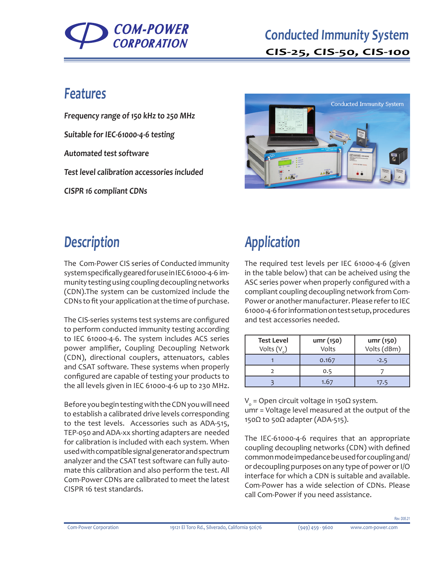

#### **Features**

**Frequency range of 150 kHz to 250 MHz Suitable for IEC-61000-4-6 testing Automated test software Test level calibration accessories included CISPR 16 compliant CDNs**



## **Description**

The Com-Power CIS series of Conducted immunity system specifically geared for use in IEC 61000-4-6 immunity testing using coupling decoupling networks (CDN).The system can be customized include the CDNs to fit your application at the time of purchase.

The CIS-series systems test systems are configured to perform conducted immunity testing according to IEC 61000-4-6. The system includes ACS series power amplifier, Coupling Decoupling Network (CDN), directional couplers, attenuators, cables and CSAT software. These systems when properly configured are capable of testing your products to the all levels given in IEC 61000-4-6 up to 230 MHz.

Before you begin testing with the CDN you will need to establish a calibrated drive levels corresponding to the test levels. Accessories such as ADA-515, TEP-050 and ADA-xx shorting adapters are needed for calibration is included with each system. When used with compatible signal generator and spectrum analyzer and the CSAT test software can fully automate this calibration and also perform the test. All Com-Power CDNs are calibrated to meet the latest CISPR 16 test standards.

# **Application**

The required test levels per IEC 61000-4-6 (given in the table below) that can be acheived using the ASC series power when properly configured with a compliant coupling decoupling network from Com-Power or another manufacturer. Please refer to IEC 61000-4-6 for information on test setup, procedures and test accessories needed.

| <b>Test Level</b><br>Volts $(V_2)$ | umr (150)<br>Volts | umr (150)<br>Volts (dBm) |  |
|------------------------------------|--------------------|--------------------------|--|
|                                    | 0.167              | $-2.5$                   |  |
|                                    | 0.5                |                          |  |
|                                    | 1.67               | 17.5                     |  |

 $\text{V}_{\text{o}}$  = Open circuit voltage in 150 $\Omega$  system. umr = Voltage level measured at the output of the 150 $\Omega$  to 50 $\Omega$  adapter (ADA-515).

The IEC-61000-4-6 requires that an appropriate coupling decoupling networks (CDN) with defined common mode impedance be used for coupling and/ or decoupling purposes on any type of power or I/O interface for which a CDN is suitable and available. Com-Power has a wide selection of CDNs. Please call Com-Power if you need assistance.